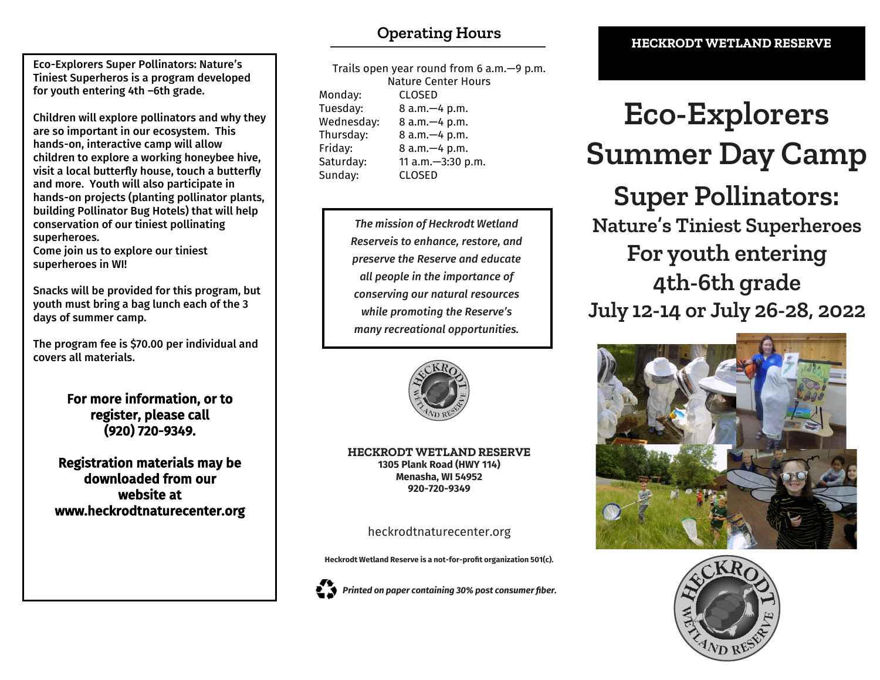Eco-Explorers Super Pollinators: Nature's Tiniest Superheros is a program developed for youth entering 4th –6th grade.

Children will explore pollinators and why they are so important in our ecosystem. This hands-on, interactive camp will allow children to explore a working honeybee hive, visit a local butterfly house, touch a butterfly and more. Youth will also participate in hands-on projects (planting pollinator plants, building Pollinator Bug Hotels) that will help conservation of our tiniest pollinating superheroes.

Come join us to explore our tiniest superheroes in WI!

Snacks will be provided for this program, but youth must bring a bag lunch each of the 3 days of summer camp.

The program fee is \$70.00 per individual and covers all materials.

> For more information, or to register, please call (920) 720-9349.

Registration materials may be downloaded from our website at www.heckrodtnaturecenter.org

Trails open year round from 6 a.m.—9 p.m. Nature Center Hours Monday: CLOSED Tuesday: 8 a.m.—4 p.m. Wednesday: 8 a.m.—4 p.m. Thursday: 8 a.m.—4 p.m. Friday: 8 a.m.—4 p.m. Saturday: 11 a.m.—3:30 p.m. Sunday: CLOSED

> *The mission of Heckrodt Wetland Reserveis to enhance, restore, and preserve the Reserve and educate all people in the importance of conserving our natural resources while promoting the Reserve's many recreational opportunities.*



**HECKRODT WETLAND RESERVE 1305 Plank Road (HWY 114) Menasha, WI 54952 920-720-9349**

heckrodtnaturecenter.org

**Heckrodt Wetland Reserve is a not-for-profit organization 501(c).**



# **Eco-Explorers Summer Day Camp Super Pollinators: Nature's Tiniest Superheroes For youth entering 4th-6th grade July 12-14 or July 26-28, 2022**